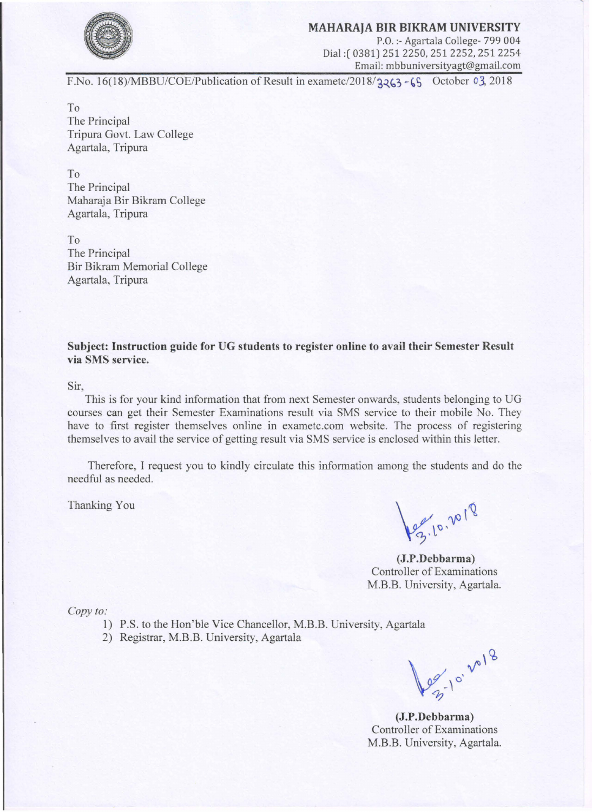## **MAHARAJA BIR BIKRAM UNIVERSITY**



P.O.:- Agartala College- 799 004 Dial:( 0381) 251 2250, 2512252,2512254 Email: mbbuniversityagt@gmail.com

F.No. 16(18)/MBBU/COE/Publication of Result in exametc/2018/3263-65 October 03, 2018

To The Principal Tripura Govt. Law College Agartala, Tripura

To The Principal Maharaja Bir Bikram College Agartala, Tripura

To The Principal Bir Bikram Memorial College Agartala, Tripura

**Subject: Instruction guide for UG students to register online to avail their Semester Result via SMS service.** 

## Sir,

This is for your kind information that from next Semester onwards, students belonging to UG courses can get their Semester Examinations result via SMS service to their mobile No. They have to first register themselves online in exametc.com website. The process of registering themselves to avail the service of getting result via SMS service is enclosed within this letter.

Therefore, I request you to kindly circulate this information among the students and do the needful as needed.

Thanking You

109.10.2018

**(J.P.Debbarma)**  Controller of Examinations M.B.B. University, Agartala.

*Copy to:* 

- 1) P.S. to the Hon'ble Vice Chancellor, M.B.B. University, Agartala
- 2) Registrar, M.B.B. University, Agartala

Leg-10' 2018

**(J.P.Debbarma)**  Controller of Examinations M.B.B. University, Agartala.